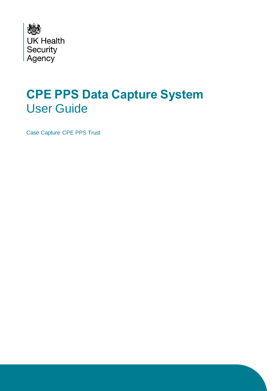

# **CPE PPS Data Capture System**  User Guide

Case Capture CPE PPS Trust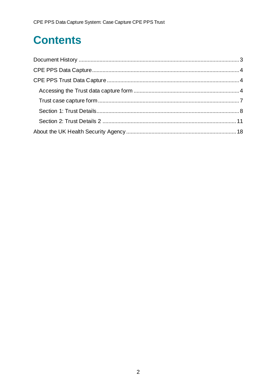# **Contents**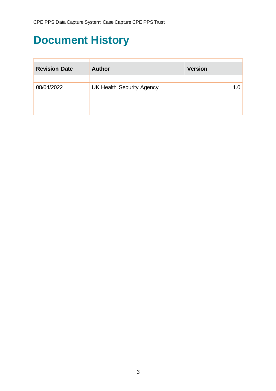## <span id="page-2-0"></span>**Document History**

| <b>Revision Date</b> | <b>Author</b>                    | <b>Version</b> |
|----------------------|----------------------------------|----------------|
|                      |                                  |                |
| 08/04/2022           | <b>UK Health Security Agency</b> | 1 በ            |
|                      |                                  |                |
|                      |                                  |                |
|                      |                                  |                |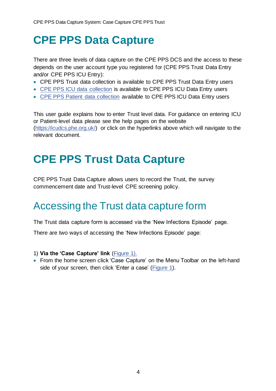## <span id="page-3-0"></span>**CPE PPS Data Capture**

There are three levels of data capture on the CPE PPS DCS and the access to these depends on the user account type you registered for (CPE PPS Trust Data Entry and/or CPE PPS ICU Entry):

- CPE PPS Trust data collection is available to CPE PPS Trust Data Entry users
- [CPE PPS ICU data collection](https://icudcs.phe.org.uk/WebPages/InternalContentPage.aspx?62/A4aAIQsZkwmKtJaFv+bmlWvlGs8SFTLkZpd/rSjk=) is available to CPE PPS ICU Data Entry users
- [CPE PPS Patient data collection](https://icudcs.phe.org.uk/ContentManagement/LinksAndAnnouncements/CPEPPSDCS_UserManagement_Patient_CaseCapture_UserGuide_v1.0.pdf) available to CPE PPS ICU Data Entry users

This user guide explains how to enter Trust level data. For guidance on entering ICU or Patient-level data please see the help pages on the website [\(https://icudcs.phe.org.uk/\)](https://icudcs.phe.org.uk/) or click on the hyperlinks above which will navigate to the relevant document.

## <span id="page-3-1"></span>**CPE PPS Trust Data Capture**

CPE PPS Trust Data Capture allows users to record the Trust, the survey commencement date and Trust-level CPE screening policy.

## <span id="page-3-2"></span>Accessing the Trust data capture form

The Trust data capture form is accessed via the 'New Infections Episode' page.

There are two ways of accessing the 'New Infections Episode' page:

### 1) **Via the 'Case Capture' link** [\(Figure 1\)](#page-4-0).

• From the home screen click 'Case Capture' on the Menu Toolbar on the left-hand side of your screen, then click 'Enter a case' [\(Figure 1\)](#page-4-0).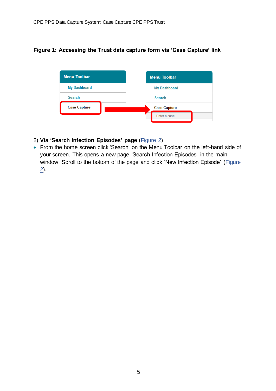### <span id="page-4-0"></span>**Figure 1: Accessing the Trust data capture form via 'Case Capture' link**



### <span id="page-4-1"></span>2) **Via 'Search Infection Episodes' page** [\(Figure 2\)](#page-5-0)

• From the home screen click 'Search' on the Menu Toolbar on the left-hand side of your screen. This opens a new page 'Search Infection Episodes' in the main window. Scroll to the bottom of the page and click 'New Infection Episode' (Figure [2\)](#page-5-0).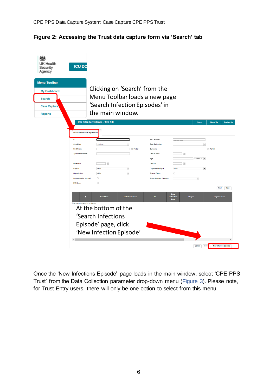<span id="page-5-0"></span>

| <b>UK Health</b><br>Security<br>Agency                                                               | <b>ICU DO</b>                                                                                                                                                                                   |                                                                                                                                                                 |                                                                                             |                                                                                                                                                                               |                                                                                |                                                                                    |
|------------------------------------------------------------------------------------------------------|-------------------------------------------------------------------------------------------------------------------------------------------------------------------------------------------------|-----------------------------------------------------------------------------------------------------------------------------------------------------------------|---------------------------------------------------------------------------------------------|-------------------------------------------------------------------------------------------------------------------------------------------------------------------------------|--------------------------------------------------------------------------------|------------------------------------------------------------------------------------|
| <b>Menu Toolbar</b><br><b>My Dashboard</b><br><b>Search</b><br><b>Case Capture</b><br><b>Reports</b> |                                                                                                                                                                                                 | Clicking on 'Search' from the<br>Menu Toolbar loads a new page<br>'Search Infection Episodes' in<br>the main window.<br><b>ICU DCS Surveillance - Test Site</b> |                                                                                             |                                                                                                                                                                               |                                                                                | <b>About Us</b><br><b>Contact Us</b><br>Home                                       |
|                                                                                                      | <b>Search Infection Episodes</b><br>ID<br>Condition<br><b>First Name</b><br><b>Specimen Number</b><br><b>Date From</b><br>Region<br>Organisation<br>Incomplete for sign-off<br><b>PIR Cases</b> | $-$ Select $-$<br>画<br>$-A  $<br>$-AII-$<br>$\Box$<br>$\Box$                                                                                                    | $\overline{\phantom{a}}$<br>Partial<br>$\overline{\phantom{a}}$<br>$\overline{\phantom{a}}$ | <b>NHS Number</b><br><b>Data Collection</b><br>Surname<br>Date of Birth<br>Age<br>Date To<br><b>Organisation Type</b><br><b>Shared Cases</b><br><b>Apportionment Category</b> | $\overline{m}$<br>$\overline{1}$<br>$-A$<br>$\Box$<br>$\overline{\phantom{a}}$ | $\overline{\phantom{a}}$<br>$\Box$ Partial<br>$-$ Select $ -$<br>$\blacksquare$    |
|                                                                                                      | п<br>There are no records to display<br>$\left  \right $                                                                                                                                        | <b>Condition</b><br>At the bottom of the<br>'Search Infections<br>Episode' page, click<br>'New Infection Episode'                                               | <b>Data Collection</b>                                                                      | ID                                                                                                                                                                            | <b>Data</b><br><b>Collection</b><br><b>Region</b><br><b>Date</b><br>Cancel     | Find<br><b>Reset</b><br><b>Organisation</b><br><b>New Infection Episode</b><br>Del |

Once the 'New Infections Episode' page loads in the main window, select 'CPE PPS Trust' from the Data Collection parameter drop-down menu [\(Figure 3\)](#page-6-1). Please note, for Trust Entry users, there will only be one option to select from this menu.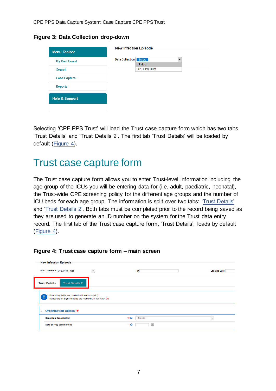<span id="page-6-1"></span>**Figure 3: Data Collection drop-down**

| <b>Menu Toolbar</b>       | New Infection Episode              |                      |  |
|---------------------------|------------------------------------|----------------------|--|
| <b>My Dashboard</b>       | <b>Data Collection -- Select--</b> |                      |  |
|                           |                                    | -Select-             |  |
| <b>Search</b>             |                                    | <b>CPE PPS Trust</b> |  |
| <b>Case Capture</b>       |                                    |                      |  |
| <b>Reports</b>            |                                    |                      |  |
| <b>Help &amp; Support</b> |                                    |                      |  |
|                           |                                    |                      |  |

Selecting 'CPE PPS Trust' will load the Trust case capture form which has two tabs 'Trust Details' and 'Trust Details 2'. The first tab 'Trust Details' will be loaded by default [\(Figure 4\)](#page-6-2).

### <span id="page-6-0"></span>Trust case capture form

The Trust case capture form allows you to enter Trust-level information including the age group of the ICUs you will be entering data for (i.e. adult, paediatric, neonatal), the Trust-wide CPE screening policy for the different age groups and the number of ICU beds for each age group. The information is split over two tabs: ['Trust Details'](#page-7-0) and ['Trust Details 2'.](#page-10-0) Both tabs must be completed prior to the record being saved as they are used to generate an ID number on the system for the Trust data entry record. The first tab of the Trust case capture form, 'Trust Details', loads by default [\(Figure 4\)](#page-6-2).

| New Infection Episode                                                                                           |                            |                          |
|-----------------------------------------------------------------------------------------------------------------|----------------------------|--------------------------|
| Data Collection CPE PPS Trust<br>$\overline{\phantom{a}}$                                                       | ID                         | <b>Created Date</b>      |
| <b>Trust Details 2</b><br><b>Trust Details</b>                                                                  |                            |                          |
| Mandatory fields are marked with red asterisk (*)<br>Mandatory for Sign Off fields are marked with red hash (#) |                            |                          |
| <b>Organisation Details *#</b><br>$\equiv$                                                                      |                            |                          |
| <b>Reporting Organisation</b>                                                                                   | # <sub>Q</sub><br>-Select- | $\overline{\phantom{a}}$ |
| Date survey commenced                                                                                           | 画<br>۰.                    |                          |

### <span id="page-6-2"></span>**Figure 4: Trust case capture form – main screen**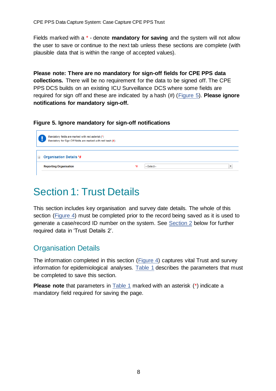Fields marked with a \* - denote **mandatory for saving** and the system will not allow the user to save or continue to the next tab unless these sections are complete (with plausible data that is within the range of accepted values).

**Please note: There are no mandatory for sign-off fields for CPE PPS data collections.** There will be no requirement for the data to be signed off. The CPE PPS DCS builds on an existing ICU Surveillance DCS where some fields are required for sign off and these are indicated by a hash (#) [\(Figure 5\)](#page-7-1). **Please ignore notifications for mandatory sign-off.**

### <span id="page-7-1"></span>**Figure 5. Ignore mandatory for sign-off notifications**



## <span id="page-7-0"></span>Section 1: Trust Details

This section includes key organisation and survey date details. The whole of this section [\(Figure 4\)](#page-6-2) must be completed prior to the record being saved as it is used to generate a case/record ID number on the system. See [Section 2](#page-10-0) below for further required data in 'Trust Details 2'.

### Organisation Details

The information completed in this section [\(Figure 4\)](#page-6-2) captures vital Trust and survey information for epidemiological analyses. [Table 1](#page-8-0) describes the parameters that must be completed to save this section.

**Please note** that parameters in [Table 1](#page-8-0) marked with an asterisk (\*) indicate a mandatory field required for saving the page.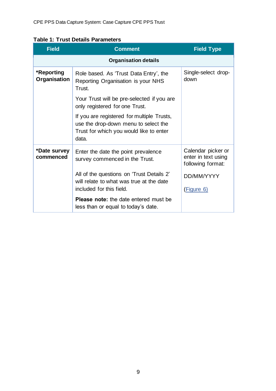<span id="page-8-0"></span>

| <b>Table 1: Trust Details Parameters</b> |
|------------------------------------------|
|------------------------------------------|

| <b>Field</b>               | <b>Comment</b>                                                                                                                         | <b>Field Type</b>                                              |
|----------------------------|----------------------------------------------------------------------------------------------------------------------------------------|----------------------------------------------------------------|
|                            | <b>Organisation details</b>                                                                                                            |                                                                |
| *Reporting<br>Organisation | Role based. As 'Trust Data Entry', the<br>Reporting Organisation is your NHS<br>Trust.                                                 | Single-select drop-<br>down                                    |
|                            | Your Trust will be pre-selected if you are<br>only registered for one Trust.                                                           |                                                                |
|                            | If you are registered for multiple Trusts,<br>use the drop-down menu to select the<br>Trust for which you would like to enter<br>data. |                                                                |
| *Date survey<br>commenced  | Enter the date the point prevalence<br>survey commenced in the Trust.                                                                  | Calendar picker or<br>enter in text using<br>following format: |
|                            | All of the questions on 'Trust Details 2'<br>will relate to what was true at the date<br>included for this field.                      | DD/MM/YYYY<br>(Figure 6)                                       |
|                            | <b>Please note:</b> the date entered must be<br>less than or equal to today's date.                                                    |                                                                |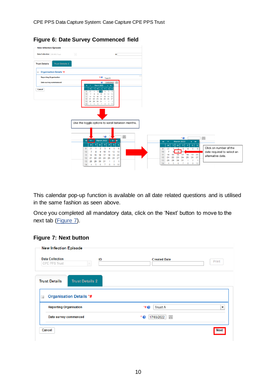<span id="page-9-0"></span>**Figure 6: Date Survey Commenced field**

| New Infection Episode                          |                                                                                                                                                                                              |                                                                                                                                                                                      |
|------------------------------------------------|----------------------------------------------------------------------------------------------------------------------------------------------------------------------------------------------|--------------------------------------------------------------------------------------------------------------------------------------------------------------------------------------|
| <b>Data Collection</b> CPE PPS Trust           | $\mathcal{L}$<br>ID                                                                                                                                                                          |                                                                                                                                                                                      |
| <b>Trust Details 2</b><br><b>Trust Details</b> |                                                                                                                                                                                              |                                                                                                                                                                                      |
| □ Organisation Details *#                      |                                                                                                                                                                                              |                                                                                                                                                                                      |
| <b>Reporting Organisation</b>                  | $40^{\circ}$<br>Trust A                                                                                                                                                                      |                                                                                                                                                                                      |
| Date survey commenced                          | $\cdot$ $\bullet$<br>03/03/2022<br>March 2022<br>$\mathbf{F} = \mathbf{F} \mathbf{F}$<br>$44 - 4$                                                                                            |                                                                                                                                                                                      |
| Cancel                                         | s l<br>s<br>4<br>28<br>10<br>12<br>13                                                                                                                                                        |                                                                                                                                                                                      |
|                                                | 20<br>19<br>11<br>15<br>14<br>16<br>17<br>18<br>26 27<br>12 21<br>22<br>23<br>24<br>25<br>13  28  29  30  31<br>$2 \quad 3$<br>$-1$<br>6 7 8 9 10<br>$5\overline{5}$<br>14<br>$\overline{4}$ |                                                                                                                                                                                      |
|                                                |                                                                                                                                                                                              |                                                                                                                                                                                      |
|                                                |                                                                                                                                                                                              |                                                                                                                                                                                      |
|                                                | Use the toggle options to scroll between months.                                                                                                                                             |                                                                                                                                                                                      |
|                                                |                                                                                                                                                                                              |                                                                                                                                                                                      |
|                                                | $\cdot$ e<br>画                                                                                                                                                                               | $\boxed{\boxplus}$<br>$\cdot$ $\bullet$                                                                                                                                              |
|                                                | March 2022<br>$\rightarrow$ $\rightarrow$<br>$\blacktriangleleft$<br>$\overline{\phantom{a}}$                                                                                                | March 2022<br>$\mathbf{F}=\mathbf{F}\mathbf{F}$<br>$\blacktriangleleft$                                                                                                              |
|                                                | $\mathbf{s}$<br><b>s</b><br>F<br>M<br>W<br>28<br>$\overline{2}$<br>3<br>5<br>4<br>6<br>9                                                                                                     | s <br>$^{\circ}$ s<br>w<br>$\top$<br>$\mathsf F$<br>T<br>M<br>Click on number of the<br>$\overline{2}$<br>$\overline{\phantom{a}}$<br>$\overline{4}$<br>5 <sub>6</sub><br>9<br>28    |
|                                                | 12<br>13<br>10<br>11<br>8<br>Q<br>10<br>19<br>20<br>15<br>18<br>11<br>16                                                                                                                     | 9<br>date required to select an<br>$\overline{7}$<br>10<br>$17$ 18 19 20<br>16<br>11<br>14<br>15                                                                                     |
|                                                | 14<br>17<br>25<br>26<br>27<br>12<br>21<br>22<br>23<br>24                                                                                                                                     | alternative date.<br>24<br>25<br>26<br>27<br>12<br>21<br>22<br>23                                                                                                                    |
|                                                | $\overline{\mathbf{3}}$<br>13<br>29<br>30<br>$\overline{2}$<br>28<br>31<br>$\mathbf{1}$<br>14<br>5 6 7 8<br>9 10<br>$\overline{4}$                                                           | 29<br>$\overline{2}$<br>$\overline{\mathbf{3}}$<br>13<br>28<br>30<br>31<br>$\overline{1}$<br>6<br>8<br>9<br>10<br>14<br>$\overline{\phantom{0}}$<br>$\overline{7}$<br>$\overline{4}$ |

This calendar pop-up function is available on all date related questions and is utilised in the same fashion as seen above.

Once you completed all mandatory data, click on the 'Next' button to move to the next tab [\(Figure 7\)](#page-9-1).

### <span id="page-9-1"></span>**Figure 7: Next button**

| <b>Data Collection</b><br>CPE PPS Trust                                     | ID<br>$\mathcal{L}$    | <b>Created Date</b>     | Print |
|-----------------------------------------------------------------------------|------------------------|-------------------------|-------|
|                                                                             |                        |                         |       |
| <b>Trust Details</b>                                                        | <b>Trust Details 2</b> |                         |       |
| <b>Organisation Details *#</b><br>$\equiv$<br><b>Reporting Organisation</b> |                        | <b>Trust A</b><br>$*$ e | ۰     |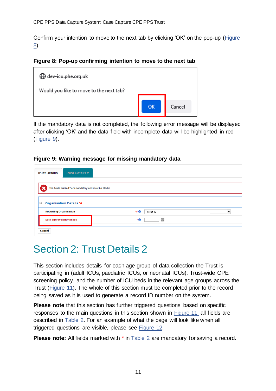Confirm your intention to move to the next tab by clicking 'OK' on the pop-up [\(Figure](#page-10-1)  [8\)](#page-10-1).

<span id="page-10-1"></span>**Figure 8: Pop-up confirming intention to move to the next tab**



If the mandatory data is not completed, the following error message will be displayed after clicking 'OK' and the data field with incomplete data will be highlighted in red [\(Figure 9\)](#page-10-2).

#### <span id="page-10-2"></span>**Figure 9: Warning message for missing mandatory data**

| <b>Trust Details</b>                       | <b>Trust Details 2</b>                                  |           |         |                          |
|--------------------------------------------|---------------------------------------------------------|-----------|---------|--------------------------|
|                                            | The fields marked * are mandatory and must be filled in |           |         |                          |
| $\equiv$<br><b>Organisation Details *#</b> |                                                         |           |         |                          |
| <b>Reporting Organisation</b>              |                                                         | <b>40</b> | Trust A | $\overline{\phantom{0}}$ |
| Date survey commenced                      |                                                         | ۰ø        | 圃       |                          |
| Cancel                                     |                                                         |           |         |                          |

## <span id="page-10-0"></span>Section 2: Trust Details 2

This section includes details for each age group of data collection the Trust is participating in (adult ICUs, paediatric ICUs, or neonatal ICUs), Trust-wide CPE screening policy, and the number of ICU beds in the relevant age groups across the Trust [\(Figure 11\)](#page-11-0). The whole of this section must be completed prior to the record being saved as it is used to generate a record ID number on the system.

**Please note** that this section has further triggered questions based on specific responses to the main questions in this section shown in [Figure 11,](#page-11-0) all fields are described in Table 2. For an example of what the page will look like when all triggered questions are visible, please see [Figure 12.](#page-15-0)

**Please note:** All fields marked with \* in Table 2 are mandatory for saving a record.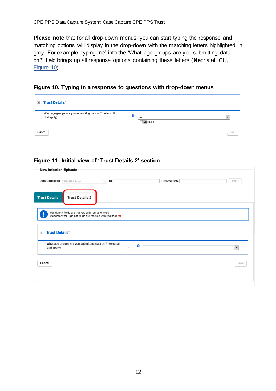**Please note** that for all drop-down menus, you can start typing the response and matching options will display in the drop-down with the matching letters highlighted in grey. For example, typing 'ne' into the 'What age groups are you submitting data on?' field brings up all response options containing these letters (**Ne**onatal ICU, [Figure 10\)](#page-11-1).

<span id="page-11-1"></span>**Figure 10. Typing in a response to questions with drop-down menus**

| $\equiv$ | <b>Trust Details*</b>                                                  |           |   |                            |      |
|----------|------------------------------------------------------------------------|-----------|---|----------------------------|------|
|          | What age groups are you submitting data on? (select all<br>that apply) | $\bullet$ | ℯ | ne<br><b>Ne</b> onatal ICU |      |
| Cancel   |                                                                        |           |   |                            | Save |

### <span id="page-11-0"></span>**Figure 11: Initial view of 'Trust Details 2' section**

| New Infection Episode                                                                                         |        |              |                      |
|---------------------------------------------------------------------------------------------------------------|--------|--------------|----------------------|
| Data Collection CPE PPS Trust<br>ID<br>$\overline{\phantom{a}}$                                               |        | Created Date | Print                |
|                                                                                                               |        |              |                      |
| <b>Trust Details</b><br><b>Trust Details 2</b>                                                                |        |              |                      |
|                                                                                                               |        |              |                      |
| Mandatory fields are marked with red asterisk(*)<br>Mandatory for Sign Off fields are marked with red hash(#) |        |              |                      |
|                                                                                                               |        |              |                      |
| <b>Trust Details*</b><br>$\equiv$                                                                             |        |              |                      |
|                                                                                                               |        |              |                      |
| What age groups are you submitting data on? (select all<br>that apply)                                        | €<br>× |              | $\blacktriangledown$ |
|                                                                                                               |        |              |                      |
|                                                                                                               |        |              |                      |
| Cancel                                                                                                        |        |              | Save                 |
|                                                                                                               |        |              |                      |
|                                                                                                               |        |              |                      |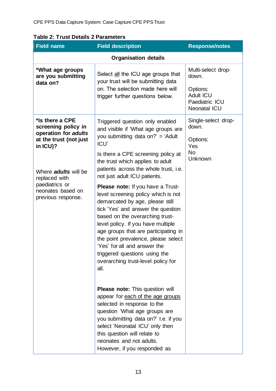| <b>Field name</b>                                              | <b>Field description</b>                                                                                                                                                                                                                                                                                                                                                                                                        | <b>Response/notes</b>                                                 |  |
|----------------------------------------------------------------|---------------------------------------------------------------------------------------------------------------------------------------------------------------------------------------------------------------------------------------------------------------------------------------------------------------------------------------------------------------------------------------------------------------------------------|-----------------------------------------------------------------------|--|
|                                                                |                                                                                                                                                                                                                                                                                                                                                                                                                                 |                                                                       |  |
| *What age groups<br>are you submitting<br>data on?             | Select all the ICU age groups that<br>your trust will be submitting data<br>on. The selection made here will                                                                                                                                                                                                                                                                                                                    | Multi-select drop-<br>down.                                           |  |
|                                                                | trigger further questions below.                                                                                                                                                                                                                                                                                                                                                                                                | Options:<br><b>Adult ICU</b><br>Paediatric ICU<br><b>Neonatal ICU</b> |  |
| *Is there a CPE<br>screening policy in<br>operation for adults | Triggered question only enabled<br>and visible if 'What age groups are                                                                                                                                                                                                                                                                                                                                                          | Single-select drop-<br>down.                                          |  |
| at the trust (not just<br>in ICU)?                             | you submitting data on?' = 'Adult<br>ICU'                                                                                                                                                                                                                                                                                                                                                                                       | Options:<br>Yes                                                       |  |
| Where <i>adults</i> will be<br>replaced with                   | Is there a CPE screening policy at<br>the trust which applies to adult<br>patients across the whole trust, i.e.<br>not just adult ICU patients.                                                                                                                                                                                                                                                                                 | <b>No</b><br>Unknown                                                  |  |
| paediatrics or<br>neonates based on<br>previous response.      | <b>Please note:</b> If you have a Trust-<br>level screening policy which is not<br>demarcated by age, please still<br>tick 'Yes' and answer the question<br>based on the overarching trust-<br>level policy. If you have multiple<br>age groups that are participating in<br>the point prevalence, please select<br>'Yes' for all and answer the<br>triggered questions using the<br>overarching trust-level policy for<br>all. |                                                                       |  |
|                                                                | <b>Please note:</b> This question will<br>appear for each of the age groups<br>selected in response to the<br>question 'What age groups are<br>you submitting data on?' I.e. if you<br>select 'Neonatal ICU' only then<br>this question will relate to<br>neonates and not adults.<br>However, if you responded as                                                                                                              |                                                                       |  |

### **Table 2: Trust Details 2 Parameters**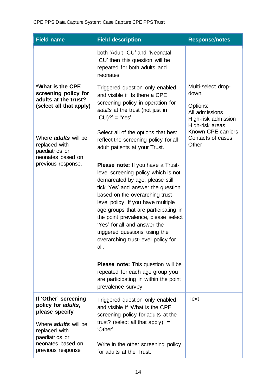| <b>Field name</b>                                                                                                                                                                                                                                                                                                                                                                                                                                                                                                                                                                            | <b>Field description</b>                                                                                                                                       | <b>Response/notes</b>                                                                               |
|----------------------------------------------------------------------------------------------------------------------------------------------------------------------------------------------------------------------------------------------------------------------------------------------------------------------------------------------------------------------------------------------------------------------------------------------------------------------------------------------------------------------------------------------------------------------------------------------|----------------------------------------------------------------------------------------------------------------------------------------------------------------|-----------------------------------------------------------------------------------------------------|
|                                                                                                                                                                                                                                                                                                                                                                                                                                                                                                                                                                                              | both 'Adult ICU' and 'Neonatal<br>ICU' then this question will be<br>repeated for both adults and<br>neonates.                                                 |                                                                                                     |
| *What is the CPE<br>screening policy for<br>adults at the trust?<br>(select all that apply)                                                                                                                                                                                                                                                                                                                                                                                                                                                                                                  | Triggered question only enabled<br>and visible if 'Is there a CPE<br>screening policy in operation for<br>adults at the trust (not just in<br>$ICU$ ?' = 'Yes' | Multi-select drop-<br>down.<br>Options:<br>All admissions<br>High-risk admission<br>High-risk areas |
| Where <i>adults</i> will be<br>replaced with<br>paediatrics or<br>neonates based on                                                                                                                                                                                                                                                                                                                                                                                                                                                                                                          | Select all of the options that best<br>reflect the screening policy for all<br>adult patients at your Trust.                                                   | Known CPE carriers<br>Contacts of cases<br>Other                                                    |
| previous response.<br>Please note: If you have a Trust-<br>level screening policy which is not<br>demarcated by age, please still<br>tick 'Yes' and answer the question<br>based on the overarching trust-<br>level policy. If you have multiple<br>age groups that are participating in<br>the point prevalence, please select<br>'Yes' for all and answer the<br>triggered questions using the<br>overarching trust-level policy for<br>all.<br><b>Please note:</b> This question will be<br>repeated for each age group you<br>are participating in within the point<br>prevalence survey |                                                                                                                                                                |                                                                                                     |
| If 'Other' screening<br>policy for adults,<br>please specify<br>Where <i>adults</i> will be                                                                                                                                                                                                                                                                                                                                                                                                                                                                                                  | Triggered question only enabled<br>and visible if 'What is the CPE<br>screening policy for adults at the<br>trust? (select all that apply)' =                  | <b>Text</b>                                                                                         |
| replaced with<br>paediatrics or<br>neonates based on<br>previous response                                                                                                                                                                                                                                                                                                                                                                                                                                                                                                                    | 'Other'<br>Write in the other screening policy<br>for adults at the Trust.                                                                                     |                                                                                                     |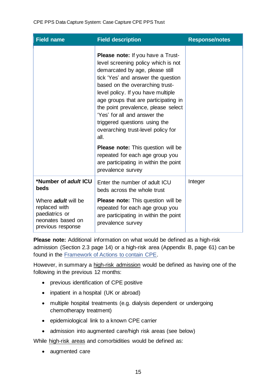| Field name                                                                | <b>Field description</b>                                                                                                                                                                                                                                                                                                                                                                                                                                                                                                                          | <b>Response/notes</b> |
|---------------------------------------------------------------------------|---------------------------------------------------------------------------------------------------------------------------------------------------------------------------------------------------------------------------------------------------------------------------------------------------------------------------------------------------------------------------------------------------------------------------------------------------------------------------------------------------------------------------------------------------|-----------------------|
|                                                                           | Please note: If you have a Trust-<br>level screening policy which is not<br>demarcated by age, please still<br>tick 'Yes' and answer the question<br>based on the overarching trust-<br>level policy. If you have multiple<br>age groups that are participating in<br>the point prevalence, please select<br>'Yes' for all and answer the<br>triggered questions using the<br>overarching trust-level policy for<br>all.<br><b>Please note:</b> This question will be<br>repeated for each age group you<br>are participating in within the point |                       |
| *Number of adult ICU                                                      | prevalence survey<br>Enter the number of adult ICU                                                                                                                                                                                                                                                                                                                                                                                                                                                                                                | Integer               |
| beds<br>Where adult will be                                               | beds across the whole trust<br><b>Please note:</b> This question will be                                                                                                                                                                                                                                                                                                                                                                                                                                                                          |                       |
| replaced with<br>paediatrics or<br>neonates based on<br>previous response | repeated for each age group you<br>are participating in within the point<br>prevalence survey                                                                                                                                                                                                                                                                                                                                                                                                                                                     |                       |

**Please note:** Additional information on what would be defined as a high-risk admission (Section 2.3 page 14) or a high-risk area (Appendix B, page 61) can be found in the [Framework of Actions to contain CPE.](https://www.gov.uk/government/publications/actions-to-contain-carbapenemase-producing-enterobacterales-cpe)

However, in summary a high-risk admission would be defined as having one of the following in the previous 12 months:

- previous identification of CPE positive
- inpatient in a hospital (UK or abroad)
- multiple hospital treatments (e.g. dialysis dependent or undergoing chemotherapy treatment)
- epidemiological link to a known CPE carrier
- admission into augmented care/high risk areas (see below)

While high-risk areas and comorbidities would be defined as:

• augmented care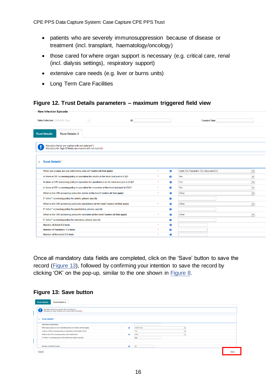- patients who are severely immunosuppression because of disease or treatment (incl. transplant, haematology/oncology)
- those cared for where organ support is necessary (e.g. critical care, renal (incl. dialysis settings), respiratory support)
- extensive care needs (e.g. liver or burns units)
- Long Term Care Facilities

#### <span id="page-15-0"></span>**Figure 12. Trust Details parameters – maximum triggered field view**

|          | <b>New Infection Episode</b>                                                                                  |        |    |         |   |                                         |                          |
|----------|---------------------------------------------------------------------------------------------------------------|--------|----|---------|---|-----------------------------------------|--------------------------|
|          | <b>Data Collection</b> CPE PPS Trust                                                                          | $\sim$ | ID |         |   | <b>Created Date</b>                     |                          |
|          | <b>Trust Details</b><br><b>Trust Details 2</b>                                                                |        |    |         |   |                                         |                          |
|          | Mandatory fields are marked with red asterisk(*)<br>Mandatory for Sign Off fields are marked with red hash(#) |        |    |         |   |                                         |                          |
| $\equiv$ | <b>Trust Details*</b>                                                                                         |        |    |         |   |                                         |                          |
|          | What age groups are you submitting data on? (select all that apply)                                           |        |    | $\star$ | ⋒ | Adult ICU, Paediatric ICU, Neonatal ICU | $\overline{\phantom{a}}$ |
|          | Is there a CPE screening policy in operation for adults at the trust (not just in ICU)?                       |        |    | ٠       | ø | Yes                                     | $\overline{\phantom{a}}$ |
|          | Is there a CPE screening policy in operation for paediatrics at the trust (not just in ICU)?                  |        |    | $\star$ | 0 | Yes                                     | $\blacktriangledown$     |
|          | Is there a CPE screening policy in operation for neonates at the trust (not just in ICU)?                     |        |    |         | € | Yes                                     | $\blacktriangledown$     |
|          | What is the CPE screening policy for adults at the trust? (select all that apply)                             |        |    | $\star$ | ⋒ | Other                                   | $\overline{\mathbf{v}}$  |
|          | If "other" screening policy for adults, please specify                                                        |        |    |         | a |                                         |                          |
|          | What is the CPE screening policy for paediatrics at the trust? (select all that apply)                        |        |    | $\star$ | € | Other                                   | $\blacktriangledown$     |
|          | If "other" screening policy for paediatrics, please specify                                                   |        |    |         | a |                                         |                          |
|          | What is the CPE screening policy for neonates at the trust? (select all that apply)                           |        |    | $\star$ | € | Other                                   | $\overline{\phantom{a}}$ |
|          | If "other" screening policy for neonates, please specify                                                      |        |    |         | 0 |                                         |                          |
|          | <b>Number of Adult ICU beds</b>                                                                               |        |    | ٠       | a |                                         |                          |
|          | <b>Number of Paediatric ICU beds</b>                                                                          |        |    | ٠       | 0 |                                         |                          |
|          | <b>Number of Neonatal ICU beds</b>                                                                            |        |    | $\star$ | a |                                         |                          |

Once all mandatory data fields are completed, click on the 'Save' button to save the record [\(Figure 13\)](#page-15-1), followed by confirming your intention to save the record by clicking 'OK' on the pop-up, similar to the one shown in [Figure 8.](#page-10-1)

#### <span id="page-15-1"></span>**Figure 13: Save button**

| <b>Trust Details</b><br><b>Trust Details 2</b>                                                                |           |                                                 |
|---------------------------------------------------------------------------------------------------------------|-----------|-------------------------------------------------|
| Mandatory fields are marked with red asterisk(*)<br>Mandatory for Sign Off fields are marked with red hash(#) |           |                                                 |
| <b>Trust details*</b><br>$-$                                                                                  |           |                                                 |
| <b>Reporting Organisation</b>                                                                                 |           |                                                 |
| What age groups are you submitting data on? (Select all that apply)<br>$\sim$                                 | $\bullet$ | <b>Adult Trusts</b><br>$\overline{\phantom{a}}$ |
| Is there a CPE screening policy in operation at the Adults Trust?                                             |           | Yes<br>$\ddot{}$                                |
| What is the CPE screening policy at the adult trust?<br>$\sim$                                                | $\bullet$ | $\blacktriangledown$<br>Other                   |
| If "other" screening policy at the adult trust, please specify                                                |           | test                                            |
|                                                                                                               |           |                                                 |
|                                                                                                               |           |                                                 |
| <b>Number of Adult ICU beds</b><br>$\sim$                                                                     | $\bullet$ | 15                                              |
| Cancel                                                                                                        |           | Save                                            |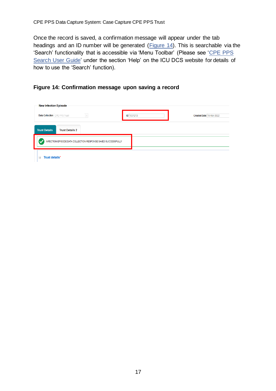Once the record is saved, a confirmation message will appear under the tab headings and an ID number will be generated [\(Figure 14\)](#page-16-0). This is searchable via the 'Search' functionality that is accessible via 'Menu Toolbar' (Please see 'CPE PPS [Search User Guide'](https://icudcs.phe.org.uk/ContentManagement/LinksAndAnnouncements/CPEPPSDCS_Case_Capture_Search_UserGuide_v1.0.pdf) under the section 'Help' on the ICU DCS website for details of how to use the 'Search' function).

### <span id="page-16-0"></span>**Figure 14: Confirmation message upon saving a record**

| New Infection Episode                                            |                   |                          |  |  |  |
|------------------------------------------------------------------|-------------------|--------------------------|--|--|--|
| $\overline{\mathcal{F}}$<br><b>Data Collection</b> CPE PPS Trust | <b>ID</b> 1031213 | Created Date 16-Mar-2022 |  |  |  |
| <b>Trust Details 2</b><br><b>Trust Details</b>                   |                   |                          |  |  |  |
| INFECTION EPISODE DATA COLLECTION RESPONSE SAVED SUCCESSFULLY    |                   |                          |  |  |  |
| Trust details*<br>$\equiv$                                       |                   |                          |  |  |  |